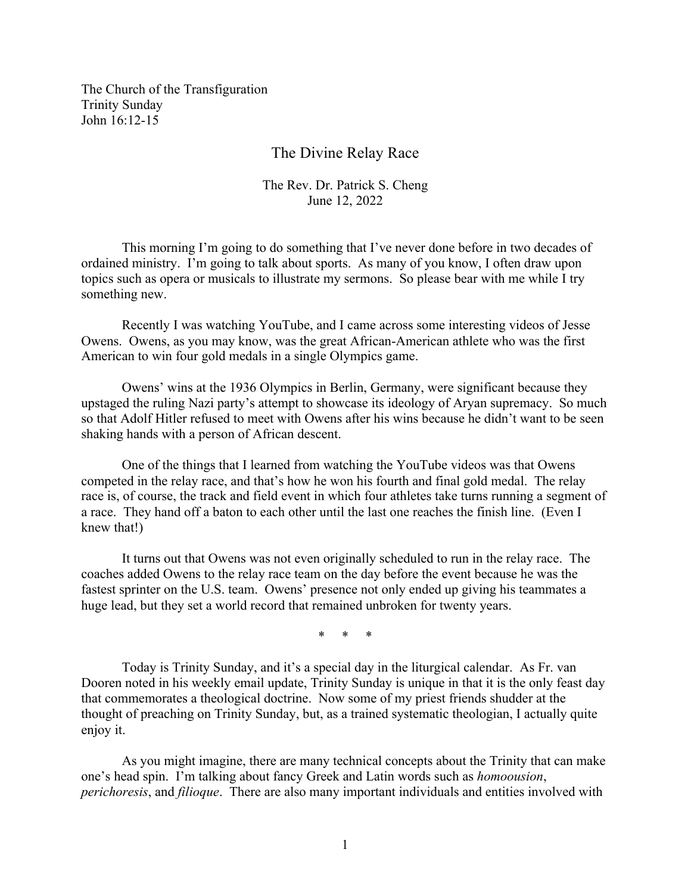The Church of the Transfiguration Trinity Sunday John 16:12-15

## The Divine Relay Race

## The Rev. Dr. Patrick S. Cheng June 12, 2022

This morning I'm going to do something that I've never done before in two decades of ordained ministry. I'm going to talk about sports. As many of you know, I often draw upon topics such as opera or musicals to illustrate my sermons. So please bear with me while I try something new.

Recently I was watching YouTube, and I came across some interesting videos of Jesse Owens. Owens, as you may know, was the great African-American athlete who was the first American to win four gold medals in a single Olympics game.

Owens' wins at the 1936 Olympics in Berlin, Germany, were significant because they upstaged the ruling Nazi party's attempt to showcase its ideology of Aryan supremacy. So much so that Adolf Hitler refused to meet with Owens after his wins because he didn't want to be seen shaking hands with a person of African descent.

One of the things that I learned from watching the YouTube videos was that Owens competed in the relay race, and that's how he won his fourth and final gold medal. The relay race is, of course, the track and field event in which four athletes take turns running a segment of a race. They hand off a baton to each other until the last one reaches the finish line. (Even I knew that!)

It turns out that Owens was not even originally scheduled to run in the relay race. The coaches added Owens to the relay race team on the day before the event because he was the fastest sprinter on the U.S. team. Owens' presence not only ended up giving his teammates a huge lead, but they set a world record that remained unbroken for twenty years.

\* \* \*

Today is Trinity Sunday, and it's a special day in the liturgical calendar. As Fr. van Dooren noted in his weekly email update, Trinity Sunday is unique in that it is the only feast day that commemorates a theological doctrine. Now some of my priest friends shudder at the thought of preaching on Trinity Sunday, but, as a trained systematic theologian, I actually quite enjoy it.

As you might imagine, there are many technical concepts about the Trinity that can make one's head spin. I'm talking about fancy Greek and Latin words such as *homoousion*, *perichoresis*, and *filioque*. There are also many important individuals and entities involved with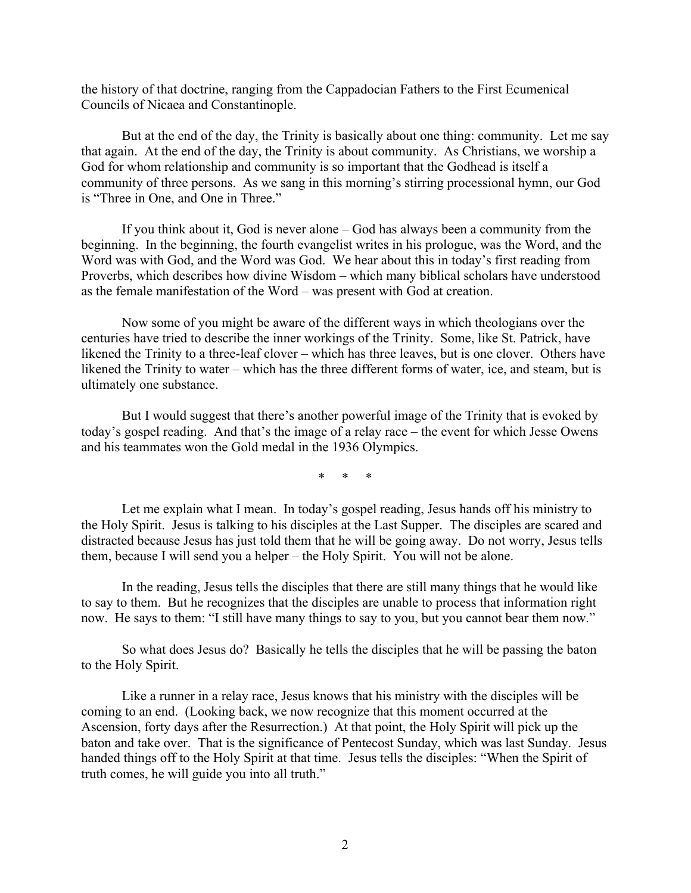the history of that doctrine, ranging from the Cappadocian Fathers to the First Ecumenical Councils of Nicaea and Constantinople.

But at the end of the day, the Trinity is basically about one thing: community. Let me say that again. At the end of the day, the Trinity is about community. As Christians, we worship a God for whom relationship and community is so important that the Godhead is itself a community of three persons. As we sang in this morning's stirring processional hymn, our God is "Three in One, and One in Three."

If you think about it, God is never alone – God has always been a community from the beginning. In the beginning, the fourth evangelist writes in his prologue, was the Word, and the Word was with God, and the Word was God. We hear about this in today's first reading from Proverbs, which describes how divine Wisdom – which many biblical scholars have understood as the female manifestation of the Word – was present with God at creation.

Now some of you might be aware of the different ways in which theologians over the centuries have tried to describe the inner workings of the Trinity. Some, like St. Patrick, have likened the Trinity to a three-leaf clover – which has three leaves, but is one clover. Others have likened the Trinity to water – which has the three different forms of water, ice, and steam, but is ultimately one substance.

But I would suggest that there's another powerful image of the Trinity that is evoked by today's gospel reading. And that's the image of a relay race – the event for which Jesse Owens and his teammates won the Gold medal in the 1936 Olympics.

\* \* \*

Let me explain what I mean. In today's gospel reading, Jesus hands off his ministry to the Holy Spirit. Jesus is talking to his disciples at the Last Supper. The disciples are scared and distracted because Jesus has just told them that he will be going away. Do not worry, Jesus tells them, because I will send you a helper – the Holy Spirit. You will not be alone.

In the reading, Jesus tells the disciples that there are still many things that he would like to say to them. But he recognizes that the disciples are unable to process that information right now. He says to them: "I still have many things to say to you, but you cannot bear them now."

So what does Jesus do? Basically he tells the disciples that he will be passing the baton to the Holy Spirit.

Like a runner in a relay race, Jesus knows that his ministry with the disciples will be coming to an end. (Looking back, we now recognize that this moment occurred at the Ascension, forty days after the Resurrection.) At that point, the Holy Spirit will pick up the baton and take over. That is the significance of Pentecost Sunday, which was last Sunday. Jesus handed things off to the Holy Spirit at that time. Jesus tells the disciples: "When the Spirit of truth comes, he will guide you into all truth."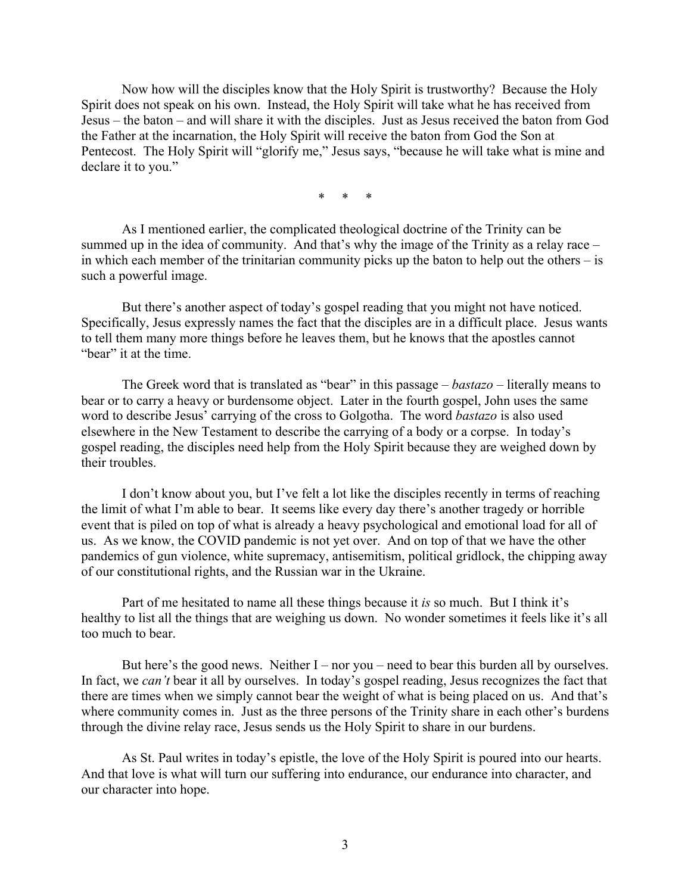Now how will the disciples know that the Holy Spirit is trustworthy? Because the Holy Spirit does not speak on his own. Instead, the Holy Spirit will take what he has received from Jesus – the baton – and will share it with the disciples. Just as Jesus received the baton from God the Father at the incarnation, the Holy Spirit will receive the baton from God the Son at Pentecost. The Holy Spirit will "glorify me," Jesus says, "because he will take what is mine and declare it to you."

\* \* \*

As I mentioned earlier, the complicated theological doctrine of the Trinity can be summed up in the idea of community. And that's why the image of the Trinity as a relay race – in which each member of the trinitarian community picks up the baton to help out the others – is such a powerful image.

But there's another aspect of today's gospel reading that you might not have noticed. Specifically, Jesus expressly names the fact that the disciples are in a difficult place. Jesus wants to tell them many more things before he leaves them, but he knows that the apostles cannot "bear" it at the time.

The Greek word that is translated as "bear" in this passage – *bastazo* – literally means to bear or to carry a heavy or burdensome object. Later in the fourth gospel, John uses the same word to describe Jesus' carrying of the cross to Golgotha. The word *bastazo* is also used elsewhere in the New Testament to describe the carrying of a body or a corpse. In today's gospel reading, the disciples need help from the Holy Spirit because they are weighed down by their troubles.

I don't know about you, but I've felt a lot like the disciples recently in terms of reaching the limit of what I'm able to bear. It seems like every day there's another tragedy or horrible event that is piled on top of what is already a heavy psychological and emotional load for all of us. As we know, the COVID pandemic is not yet over. And on top of that we have the other pandemics of gun violence, white supremacy, antisemitism, political gridlock, the chipping away of our constitutional rights, and the Russian war in the Ukraine.

Part of me hesitated to name all these things because it *is* so much. But I think it's healthy to list all the things that are weighing us down. No wonder sometimes it feels like it's all too much to bear.

But here's the good news. Neither  $I$  – nor you – need to bear this burden all by ourselves. In fact, we *can't* bear it all by ourselves. In today's gospel reading, Jesus recognizes the fact that there are times when we simply cannot bear the weight of what is being placed on us. And that's where community comes in. Just as the three persons of the Trinity share in each other's burdens through the divine relay race, Jesus sends us the Holy Spirit to share in our burdens.

As St. Paul writes in today's epistle, the love of the Holy Spirit is poured into our hearts. And that love is what will turn our suffering into endurance, our endurance into character, and our character into hope.